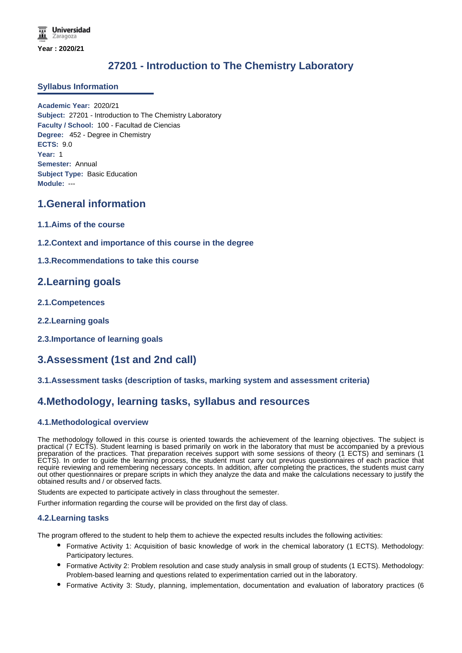# **27201 - Introduction to The Chemistry Laboratory**

### **Syllabus Information**

**Academic Year:** 2020/21 **Subject:** 27201 - Introduction to The Chemistry Laboratory **Faculty / School:** 100 - Facultad de Ciencias **Degree:** 452 - Degree in Chemistry **ECTS:** 9.0 **Year:** 1 **Semester:** Annual **Subject Type:** Basic Education **Module:** ---

## **1.General information**

- **1.1.Aims of the course**
- **1.2.Context and importance of this course in the degree**
- **1.3.Recommendations to take this course**

## **2.Learning goals**

- **2.1.Competences**
- **2.2.Learning goals**
- **2.3.Importance of learning goals**

## **3.Assessment (1st and 2nd call)**

### **3.1.Assessment tasks (description of tasks, marking system and assessment criteria)**

## **4.Methodology, learning tasks, syllabus and resources**

### **4.1.Methodological overview**

The methodology followed in this course is oriented towards the achievement of the learning objectives. The subject is practical (7 ECTS). Student learning is based primarily on work in the laboratory that must be accompanied by a previous preparation of the practices. That preparation receives support with some sessions of theory (1 ECTS) and seminars (1 ECTS). In order to guide the learning process, the student must carry out previous questionnaires of each practice that require reviewing and remembering necessary concepts. In addition, after completing the practices, the students must carry out other questionnaires or prepare scripts in which they analyze the data and make the calculations necessary to justify the obtained results and / or observed facts.

Students are expected to participate actively in class throughout the semester.

Further information regarding the course will be provided on the first day of class.

### **4.2.Learning tasks**

The program offered to the student to help them to achieve the expected results includes the following activities:

- Formative Activity 1: Acquisition of basic knowledge of work in the chemical laboratory (1 ECTS). Methodology: Participatory lectures.
- Formative Activity 2: Problem resolution and case study analysis in small group of students (1 ECTS). Methodology: Problem-based learning and questions related to experimentation carried out in the laboratory.
- Formative Activity 3: Study, planning, implementation, documentation and evaluation of laboratory practices (6